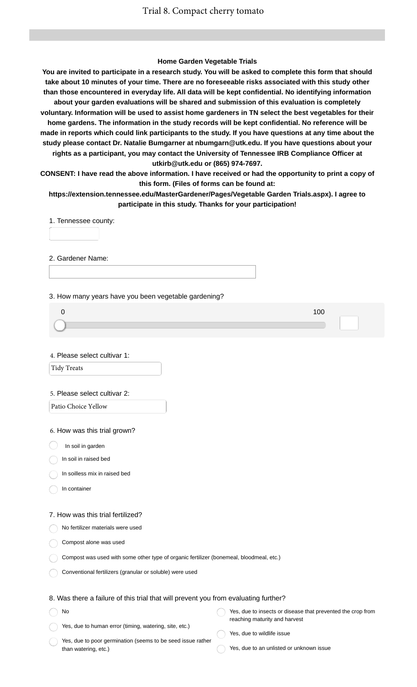#### **Home Garden Vegetable Trials**

**You are invited to participate in a research study. You will be asked to complete this form that should take about 10 minutes of your time. There are no foreseeable risks associated with this study other than those encountered in everyday life. All data will be kept confidential. No identifying information about your garden evaluations will be shared and submission of this evaluation is completely voluntary. Information will be used to assist home gardeners in TN select the best vegetables for their home gardens. The information in the study records will be kept confidential. No reference will be made in reports which could link participants to the study. If you have questions at any time about the study please contact Dr. Natalie Bumgarner at nbumgarn@utk.edu. If you have questions about your rights as a participant, you may contact the University of Tennessee IRB Compliance Officer at utkirb@utk.edu or (865) 974-7697. CONSENT: I have read the above information. I have received or had the opportunity to print a copy of**

**this form. (Files of forms can be found at: https://extension.tennessee.edu/MasterGardener/Pages/Vegetable Garden Trials.aspx). I agree to participate in this study. Thanks for your participation!**

1. Tennessee county:

2. Gardener Name:

3. How many years have you been vegetable gardening?

4. Please select cultivar 1:

Tidy Treats

#### 5. Please select cultivar 2:

Patio Choice Yellow

6. How was this trial grown?

In soil in garden

In soil in raised bed

In soilless mix in raised bed

In container

#### 7. How was this trial fertilized?

No fertilizer materials were used

Compost alone was used

Compost was used with some other type of organic fertilizer (bonemeal, bloodmeal, etc.)

Conventional fertilizers (granular or soluble) were used

### 8. Was there a failure of this trial that will prevent you from evaluating further?

No Yes, due to human error (timing, watering, site, etc.) Yes, due to insects or disease that prevented the crop from reaching maturity and harvest Yes, due to wildlife issue

Yes, due to poor germination (seems to be seed issue rather than watering, etc.)

- 
- Yes, due to an unlisted or unknown issue